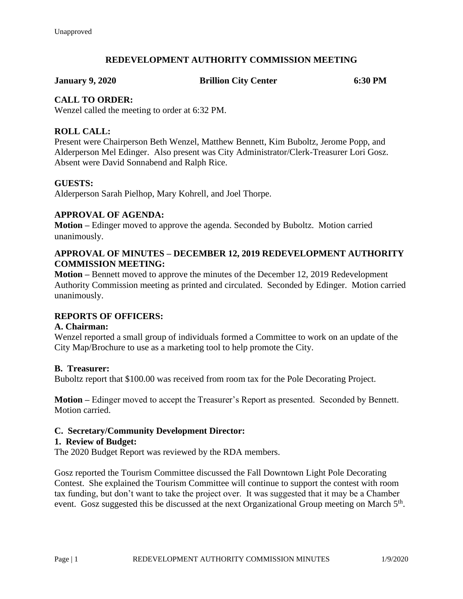# **REDEVELOPMENT AUTHORITY COMMISSION MEETING**

**January 9, 2020 Brillion City Center 6:30 PM**

## **CALL TO ORDER:**

Wenzel called the meeting to order at 6:32 PM.

## **ROLL CALL:**

Present were Chairperson Beth Wenzel, Matthew Bennett, Kim Buboltz, Jerome Popp, and Alderperson Mel Edinger. Also present was City Administrator/Clerk-Treasurer Lori Gosz. Absent were David Sonnabend and Ralph Rice.

## **GUESTS:**

Alderperson Sarah Pielhop, Mary Kohrell, and Joel Thorpe.

## **APPROVAL OF AGENDA:**

**Motion –** Edinger moved to approve the agenda. Seconded by Buboltz. Motion carried unanimously.

## **APPROVAL OF MINUTES – DECEMBER 12, 2019 REDEVELOPMENT AUTHORITY COMMISSION MEETING:**

**Motion –** Bennett moved to approve the minutes of the December 12, 2019 Redevelopment Authority Commission meeting as printed and circulated. Seconded by Edinger. Motion carried unanimously.

## **REPORTS OF OFFICERS:**

## **A. Chairman:**

Wenzel reported a small group of individuals formed a Committee to work on an update of the City Map/Brochure to use as a marketing tool to help promote the City.

## **B. Treasurer:**

Buboltz report that \$100.00 was received from room tax for the Pole Decorating Project.

**Motion –** Edinger moved to accept the Treasurer's Report as presented. Seconded by Bennett. Motion carried.

## **C. Secretary/Community Development Director:**

#### **1. Review of Budget:**

The 2020 Budget Report was reviewed by the RDA members.

Gosz reported the Tourism Committee discussed the Fall Downtown Light Pole Decorating Contest. She explained the Tourism Committee will continue to support the contest with room tax funding, but don't want to take the project over. It was suggested that it may be a Chamber event. Gosz suggested this be discussed at the next Organizational Group meeting on March 5<sup>th</sup>.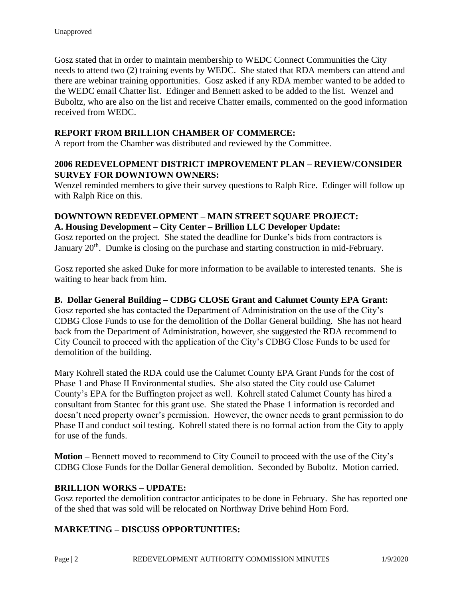Gosz stated that in order to maintain membership to WEDC Connect Communities the City needs to attend two (2) training events by WEDC. She stated that RDA members can attend and there are webinar training opportunities. Gosz asked if any RDA member wanted to be added to the WEDC email Chatter list. Edinger and Bennett asked to be added to the list. Wenzel and Buboltz, who are also on the list and receive Chatter emails, commented on the good information received from WEDC.

# **REPORT FROM BRILLION CHAMBER OF COMMERCE:**

A report from the Chamber was distributed and reviewed by the Committee.

# **2006 REDEVELOPMENT DISTRICT IMPROVEMENT PLAN – REVIEW/CONSIDER SURVEY FOR DOWNTOWN OWNERS:**

Wenzel reminded members to give their survey questions to Ralph Rice. Edinger will follow up with Ralph Rice on this.

# **DOWNTOWN REDEVELOPMENT – MAIN STREET SQUARE PROJECT: A. Housing Development – City Center – Brillion LLC Developer Update:**

Gosz reported on the project. She stated the deadline for Dunke's bids from contractors is January 20<sup>th</sup>. Dumke is closing on the purchase and starting construction in mid-February.

Gosz reported she asked Duke for more information to be available to interested tenants. She is waiting to hear back from him.

## **B. Dollar General Building – CDBG CLOSE Grant and Calumet County EPA Grant:**

Gosz reported she has contacted the Department of Administration on the use of the City's CDBG Close Funds to use for the demolition of the Dollar General building. She has not heard back from the Department of Administration, however, she suggested the RDA recommend to City Council to proceed with the application of the City's CDBG Close Funds to be used for demolition of the building.

Mary Kohrell stated the RDA could use the Calumet County EPA Grant Funds for the cost of Phase 1 and Phase II Environmental studies. She also stated the City could use Calumet County's EPA for the Buffington project as well. Kohrell stated Calumet County has hired a consultant from Stantec for this grant use. She stated the Phase 1 information is recorded and doesn't need property owner's permission. However, the owner needs to grant permission to do Phase II and conduct soil testing. Kohrell stated there is no formal action from the City to apply for use of the funds.

**Motion –** Bennett moved to recommend to City Council to proceed with the use of the City's CDBG Close Funds for the Dollar General demolition. Seconded by Buboltz. Motion carried.

## **BRILLION WORKS – UPDATE:**

Gosz reported the demolition contractor anticipates to be done in February. She has reported one of the shed that was sold will be relocated on Northway Drive behind Horn Ford.

## **MARKETING – DISCUSS OPPORTUNITIES:**